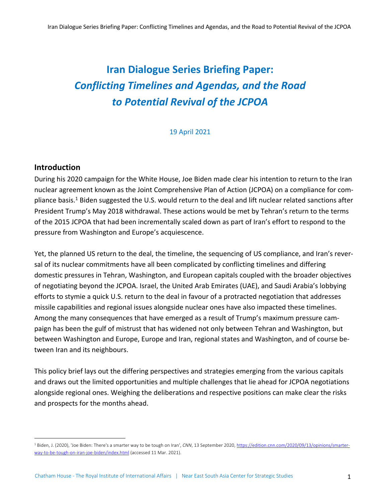# **Iran Dialogue Series Briefing Paper:** *Conflicting Timelines and Agendas, and the Road to Potential Revival of the JCPOA*

19 April 2021

## **Introduction**

During his 2020 campaign for the White House, Joe Biden made clear his intention to return to the Iran nuclear agreement known as the Joint Comprehensive Plan of Action (JCPOA) on a compliance for compliance basis.<sup>1</sup> Biden suggested the U.S. would return to the deal and lift nuclear related sanctions after President Trump's May 2018 withdrawal. These actions would be met by Tehran's return to the terms of the 2015 JCPOA that had been incrementally scaled down as part of Iran's effort to respond to the pressure from Washington and Europe's acquiescence.

Yet, the planned US return to the deal, the timeline, the sequencing of US compliance, and Iran's reversal of its nuclear commitments have all been complicated by conflicting timelines and differing domestic pressures in Tehran, Washington, and European capitals coupled with the broader objectives of negotiating beyond the JCPOA. Israel, the United Arab Emirates (UAE), and Saudi Arabia's lobbying efforts to stymie a quick U.S. return to the deal in favour of a protracted negotiation that addresses missile capabilities and regional issues alongside nuclear ones have also impacted these timelines. Among the many consequences that have emerged as a result of Trump's maximum pressure campaign has been the gulf of mistrust that has widened not only between Tehran and Washington, but between Washington and Europe, Europe and Iran, regional states and Washington, and of course between Iran and its neighbours.

This policy brief lays out the differing perspectives and strategies emerging from the various capitals and draws out the limited opportunities and multiple challenges that lie ahead for JCPOA negotiations alongside regional ones. Weighing the deliberations and respective positions can make clear the risks and prospects for the months ahead.

<sup>1</sup> Biden, J. (2020), 'Joe Biden: There's a smarter way to be tough on Iran', *CNN*, 13 September 2020, https://edition.cnn.com/2020/09/13/opinions/smarterway-to-be-tough-on-iran-joe-biden/index.html (accessed 11 Mar. 2021).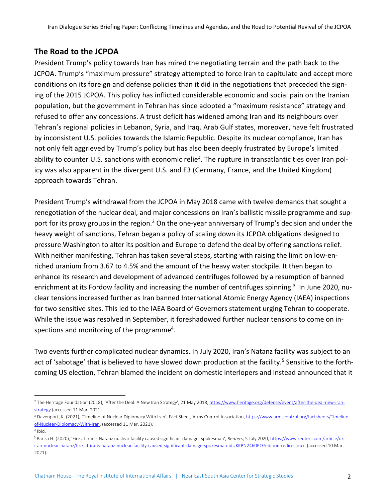# **The Road to the JCPOA**

President Trump's policy towards Iran has mired the negotiating terrain and the path back to the JCPOA. Trump's "maximum pressure" strategy attempted to force Iran to capitulate and accept more conditions on its foreign and defense policies than it did in the negotiations that preceded the signing of the 2015 JCPOA. This policy has inflicted considerable economic and social pain on the Iranian population, but the government in Tehran has since adopted a "maximum resistance" strategy and refused to offer any concessions. A trust deficit has widened among Iran and its neighbours over Tehran's regional policies in Lebanon, Syria, and Iraq. Arab Gulf states, moreover, have felt frustrated by inconsistent U.S. policies towards the Islamic Republic. Despite its nuclear compliance, Iran has not only felt aggrieved by Trump's policy but has also been deeply frustrated by Europe's limited ability to counter U.S. sanctions with economic relief. The rupture in transatlantic ties over Iran policy was also apparent in the divergent U.S. and E3 (Germany, France, and the United Kingdom) approach towards Tehran.

President Trump's withdrawal from the JCPOA in May 2018 came with twelve demands that sought a renegotiation of the nuclear deal, and major concessions on Iran's ballistic missile programme and support for its proxy groups in the region.<sup>2</sup> On the one-year anniversary of Trump's decision and under the heavy weight of sanctions, Tehran began a policy of scaling down its JCPOA obligations designed to pressure Washington to alter its position and Europe to defend the deal by offering sanctions relief. With neither manifesting, Tehran has taken several steps, starting with raising the limit on low-enriched uranium from 3.67 to 4.5% and the amount of the heavy water stockpile. It then began to enhance its research and development of advanced centrifuges followed by a resumption of banned enrichment at its Fordow facility and increasing the number of centrifuges spinning.<sup>3</sup> In June 2020, nuclear tensions increased further as Iran banned International Atomic Energy Agency (IAEA) inspections for two sensitive sites. This led to the IAEA Board of Governors statement urging Tehran to cooperate. While the issue was resolved in September, it foreshadowed further nuclear tensions to come on inspections and monitoring of the programme<sup>4</sup>.

Two events further complicated nuclear dynamics. In July 2020, Iran's Natanz facility was subject to an act of 'sabotage' that is believed to have slowed down production at the facility.<sup>5</sup> Sensitive to the forthcoming US election, Tehran blamed the incident on domestic interlopers and instead announced that it

<sup>&</sup>lt;sup>2</sup> The Heritage Foundation (2018), 'After the Deal: A New Iran Strategy', 21 May 2018, https://www.heritage.org/defense/event/after-the-deal-new-iranstrategy (accessed 11 Mar. 2021).

<sup>&</sup>lt;sup>3</sup> Davenport, K. (2021), 'Timeline of Nuclear Diplomacy With Iran', Fact Sheet, Arms Control Association, https://www.armscontrol.org/factsheets/Timelineof-Nuclear-Diplomacy-With-Iran, (accessed 11 Mar. 2021).

<sup>4</sup> Ibid.

<sup>5</sup> Parisa H. (2020), 'Fire at Iran's Natanz nuclear facility caused significant damage: spokesman', *Reuters*, 5 July 2020, https://www.reuters.com/article/ukiran-nuclear-natanz/fire-at-irans-natanz-nuclear-facility-caused-significant-damage-spokesman-idUKKBN2460PO?edition-redirect=uk, (accessed 10 Mar. 2021).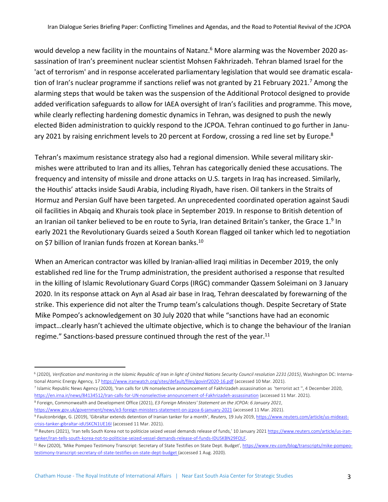would develop a new facility in the mountains of Natanz.<sup>6</sup> More alarming was the November 2020 assassination of Iran's preeminent nuclear scientist Mohsen Fakhrizadeh. Tehran blamed Israel for the 'act of terrorism' and in response accelerated parliamentary legislation that would see dramatic escalation of Iran's nuclear programme if sanctions relief was not granted by 21 February 2021.<sup>7</sup> Among the alarming steps that would be taken was the suspension of the Additional Protocol designed to provide added verification safeguards to allow for IAEA oversight of Iran's facilities and programme. This move, while clearly reflecting hardening domestic dynamics in Tehran, was designed to push the newly elected Biden administration to quickly respond to the JCPOA. Tehran continued to go further in January 2021 by raising enrichment levels to 20 percent at Fordow, crossing a red line set by Europe.<sup>8</sup>

Tehran's maximum resistance strategy also had a regional dimension. While several military skirmishes were attributed to Iran and its allies, Tehran has categorically denied these accusations. The frequency and intensity of missile and drone attacks on U.S. targets in Iraq has increased. Similarly, the Houthis' attacks inside Saudi Arabia, including Riyadh, have risen. Oil tankers in the Straits of Hormuz and Persian Gulf have been targeted. An unprecedented coordinated operation against Saudi oil facilities in Abqaiq and Khurais took place in September 2019. In response to British detention of an Iranian oil tanker believed to be en route to Syria, Iran detained Britain's tanker, the Grace 1.<sup>9</sup> In early 2021 the Revolutionary Guards seized a South Korean flagged oil tanker which led to negotiation on \$7 billion of Iranian funds frozen at Korean banks.<sup>10</sup>

When an American contractor was killed by Iranian-allied Iraqi militias in December 2019, the only established red line for the Trump administration, the president authorised a response that resulted in the killing of Islamic Revolutionary Guard Corps (IRGC) commander Qassem Soleimani on 3 January 2020. In its response attack on Ayn al Asad air base in Iraq, Tehran deescalated by forewarning of the strike. This experience did not alter the Trump team's calculations though. Despite Secretary of State Mike Pompeo's acknowledgement on 30 July 2020 that while "sanctions have had an economic impact…clearly hasn't achieved the ultimate objective, which is to change the behaviour of the Iranian regime." Sanctions-based pressure continued through the rest of the year.<sup>11</sup>

https://www.gov.uk/government/news/e3-foreign-ministers-statement-on-jcpoa-6-january-2021 (accessed 11 Mar. 2021).

<sup>6</sup> (2020), *Verification and monitoring in the Islamic Republic of Iran in light of United Nations Security Council resolution 2231 (2015)*, Washington DC: International Atomic Energy Agency, 17 https://www.iranwatch.org/sites/default/files/govinf2020-16.pdf (accessed 10 Mar. 2021).

<sup>7</sup> Islamic Republic News Agency (2020), 'Iran calls for UN nonselective announcement of Fakhrizadeh assassination as 'terrorist act '', 4 December 2020, https://en.irna.ir/news/84134512/Iran-calls-for-UN-nonselective-announcement-of-Fakhrizadeh-assassination (accessed 11 Mar. 2021).

<sup>8</sup> Foreign, Commonwealth and Development Office (2021), *E3 Foreign Ministers' Statement on the JCPOA: 6 January 2021*,

<sup>9</sup> Faulconbridge, G. (2019), 'Gibraltar extends detention of Iranian tanker for a month', *Reuters*, 19 July 2019, https://www.reuters.com/article/us-mideastcrisis-tanker-gibraltar-idUSKCN1UE16I (accessed 11 Mar. 2021).

<sup>&</sup>lt;sup>10</sup> Reuters (2021), 'Iran tells South Korea not to politicize seized vessel demands release of funds,' 10 January 2021 https://www.reuters.com/article/us-irantanker/Iran-tells-south-korea-not-to-politicise-seized-vessel-demands-release-of-funds-IDUSKBN29FOLF.

<sup>&</sup>lt;sup>11</sup> Rev (2020), 'Mike Pompeo Testimony Transcript: Secretary of State Testifies on State Dept. Budget', https://www.rev.com/blog/transcripts/mike-pompeotestimony-transcript-secretary-of-state-testifies-on-state-dept-budget (accessed 1 Aug. 2020).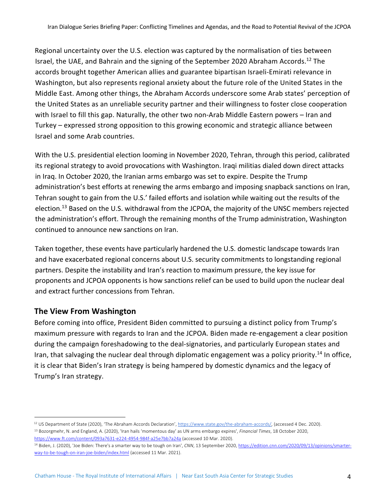Regional uncertainty over the U.S. election was captured by the normalisation of ties between Israel, the UAE, and Bahrain and the signing of the September 2020 Abraham Accords.<sup>12</sup> The accords brought together American allies and guarantee bipartisan Israeli-Emirati relevance in Washington, but also represents regional anxiety about the future role of the United States in the Middle East. Among other things, the Abraham Accords underscore some Arab states' perception of the United States as an unreliable security partner and their willingness to foster close cooperation with Israel to fill this gap. Naturally, the other two non-Arab Middle Eastern powers – Iran and Turkey – expressed strong opposition to this growing economic and strategic alliance between Israel and some Arab countries.

With the U.S. presidential election looming in November 2020, Tehran, through this period, calibrated its regional strategy to avoid provocations with Washington. Iraqi militias dialed down direct attacks in Iraq. In October 2020, the Iranian arms embargo was set to expire. Despite the Trump administration's best efforts at renewing the arms embargo and imposing snapback sanctions on Iran, Tehran sought to gain from the U.S.' failed efforts and isolation while waiting out the results of the election.<sup>13</sup> Based on the U.S. withdrawal from the JCPOA, the majority of the UNSC members rejected the administration's effort. Through the remaining months of the Trump administration, Washington continued to announce new sanctions on Iran.

Taken together, these events have particularly hardened the U.S. domestic landscape towards Iran and have exacerbated regional concerns about U.S. security commitments to longstanding regional partners. Despite the instability and Iran's reaction to maximum pressure, the key issue for proponents and JCPOA opponents is how sanctions relief can be used to build upon the nuclear deal and extract further concessions from Tehran.

#### **The View From Washington**

Before coming into office, President Biden committed to pursuing a distinct policy from Trump's maximum pressure with regards to Iran and the JCPOA. Biden made re-engagement a clear position during the campaign foreshadowing to the deal-signatories, and particularly European states and Iran, that salvaging the nuclear deal through diplomatic engagement was a policy priority.<sup>14</sup> In office, it is clear that Biden's Iran strategy is being hampered by domestic dynamics and the legacy of Trump's Iran strategy.

<sup>&</sup>lt;sup>12</sup> US Department of State (2020), 'The Abraham Accords Declaration', https://www.state.gov/the-abraham-accords/, (accessed 4 Dec. 2020).

<sup>13</sup> Bozorgmehr, N. and England, A. (2020), 'Iran hails 'momentous day' as UN arms embargo expires', *Financial Times*, 18 October 2020, https://www.ft.com/content/093a7631-e224-4954-984f-a25e7bb7a24a (accessed 10 Mar. 2020).

<sup>&</sup>lt;sup>14</sup> Biden, J. (2020), 'Joe Biden: There's a smarter way to be tough on Iran', *CNN*, 13 September 2020, https://edition.cnn.com/2020/09/13/opinions/smarterway-to-be-tough-on-iran-joe-biden/index.html (accessed 11 Mar. 2021).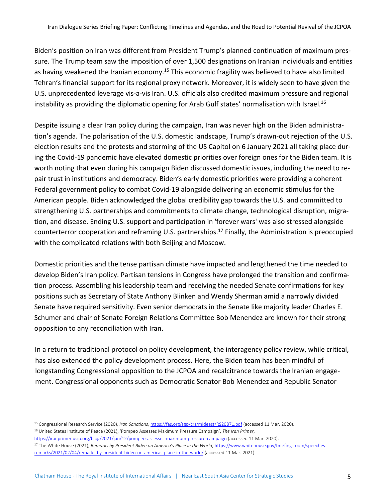Biden's position on Iran was different from President Trump's planned continuation of maximum pressure. The Trump team saw the imposition of over 1,500 designations on Iranian individuals and entities as having weakened the Iranian economy.<sup>15</sup> This economic fragility was believed to have also limited Tehran's financial support for its regional proxy network. Moreover, it is widely seen to have given the U.S. unprecedented leverage vis-a-vis Iran. U.S. officials also credited maximum pressure and regional instability as providing the diplomatic opening for Arab Gulf states' normalisation with Israel.<sup>16</sup>

Despite issuing a clear Iran policy during the campaign, Iran was never high on the Biden administration's agenda. The polarisation of the U.S. domestic landscape, Trump's drawn-out rejection of the U.S. election results and the protests and storming of the US Capitol on 6 January 2021 all taking place during the Covid-19 pandemic have elevated domestic priorities over foreign ones for the Biden team. It is worth noting that even during his campaign Biden discussed domestic issues, including the need to repair trust in institutions and democracy. Biden's early domestic priorities were providing a coherent Federal government policy to combat Covid-19 alongside delivering an economic stimulus for the American people. Biden acknowledged the global credibility gap towards the U.S. and committed to strengthening U.S. partnerships and commitments to climate change, technological disruption, migration, and disease. Ending U.S. support and participation in 'forever wars' was also stressed alongside counterterror cooperation and reframing U.S. partnerships.17 Finally, the Administration is preoccupied with the complicated relations with both Beijing and Moscow.

Domestic priorities and the tense partisan climate have impacted and lengthened the time needed to develop Biden's Iran policy. Partisan tensions in Congress have prolonged the transition and confirmation process. Assembling his leadership team and receiving the needed Senate confirmations for key positions such as Secretary of State Anthony Blinken and Wendy Sherman amid a narrowly divided Senate have required sensitivity. Even senior democrats in the Senate like majority leader Charles E. Schumer and chair of Senate Foreign Relations Committee Bob Menendez are known for their strong opposition to any reconciliation with Iran.

In a return to traditional protocol on policy development, the interagency policy review, while critical, has also extended the policy development process. Here, the Biden team has been mindful of longstanding Congressional opposition to the JCPOA and recalcitrance towards the Iranian engagement. Congressional opponents such as Democratic Senator Bob Menendez and Republic Senator

<sup>15</sup> Congressional Research Service (2020), *Iran Sanctions*, https://fas.org/sgp/crs/mideast/RS20871.pdf (accessed 11 Mar. 2020). <sup>16</sup> United States Institute of Peace (2021), 'Pompeo Assesses Maximum Pressure Campaign', *The Iran Primer*,

https://iranprimer.usip.org/blog/2021/jan/12/pompeo-assesses-maximum-pressure-campaign (accessed 11 Mar. 2020).

<sup>&</sup>lt;sup>17</sup> The White House (2021), *Remarks by President Biden on America's Place in the World*, https://www.whitehouse.gov/briefing-room/speechesremarks/2021/02/04/remarks-by-president-biden-on-americas-place-in-the-world/ (accessed 11 Mar. 2021).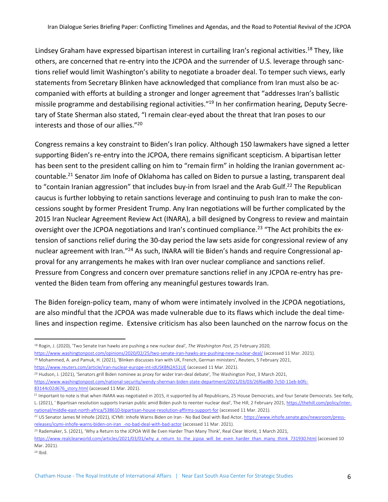Lindsey Graham have expressed bipartisan interest in curtailing Iran's regional activities.<sup>18</sup> They, like others, are concerned that re-entry into the JCPOA and the surrender of U.S. leverage through sanctions relief would limit Washington's ability to negotiate a broader deal. To temper such views, early statements from Secretary Blinken have acknowledged that compliance from Iran must also be accompanied with efforts at building a stronger and longer agreement that "addresses Iran's ballistic missile programme and destabilising regional activities."19 In her confirmation hearing, Deputy Secretary of State Sherman also stated, "I remain clear-eyed about the threat that Iran poses to our interests and those of our allies."20

Congress remains a key constraint to Biden's Iran policy. Although 150 lawmakers have signed a letter supporting Biden's re-entry into the JCPOA, there remains significant scepticism. A bipartisan letter has been sent to the president calling on him to "remain firm" in holding the Iranian government accountable.21 Senator Jim Inofe of Oklahoma has called on Biden to pursue a lasting, transparent deal to "contain Iranian aggression" that includes buy-in from Israel and the Arab Gulf.<sup>22</sup> The Republican caucus is further lobbying to retain sanctions leverage and continuing to push Iran to make the concessions sought by former President Trump. Any Iran negotiations will be further complicated by the 2015 Iran Nuclear Agreement Review Act (INARA), a bill designed by Congress to review and maintain oversight over the JCPOA negotiations and Iran's continued compliance.<sup>23</sup> "The Act prohibits the extension of sanctions relief during the 30-day period the law sets aside for congressional review of any nuclear agreement with Iran."24 As such, INARA will tie Biden's hands and require Congressional approval for any arrangements he makes with Iran over nuclear compliance and sanctions relief. Pressure from Congress and concern over premature sanctions relief in any JCPOA re-entry has prevented the Biden team from offering any meaningful gestures towards Iran.

The Biden foreign-policy team, many of whom were intimately involved in the JCPOA negotiations, are also mindful that the JCPOA was made vulnerable due to its flaws which include the deal timelines and inspection regime. Extensive criticism has also been launched on the narrow focus on the

https://www.reuters.com/article/iran-nuclear-europe-int-idUSKBN2A51UE (accessed 11 Mar. 2021).

<sup>20</sup> Hudson, J. (2021), 'Senators grill Biden nominee as proxy for wider Iran-deal debate', The Washington Post, 3 March 2021, https://www.washingtonpost.com/national-security/wendy-sherman-biden-state-department/2021/03/03/26f6ad80-7c50-11eb-b0fc-83144c02d676\_story.html (accessed 11 Mar. 2021).

<sup>18</sup> Rogin, J. (2020), 'Two Senate Iran hawks are pushing a new nuclear deal', *The Washington Post*, 25 February 2020,

https://www.washingtonpost.com/opinions/2020/02/25/two-senate-iran-hawks-are-pushing-new-nuclear-deal/ (accessed 11 Mar. 2021).

<sup>19</sup> Mohammed, A. and Pamuk, H. (2021), 'Blinken discusses Iran with UK, French, German ministers', Reuters, 5 February 2021,

<sup>&</sup>lt;sup>21</sup> Important to note is that when INARA was negotiated in 2015, it supported by all Republicans, 25 House Democrats, and four Senate Democrats. See Kelly, L. (2021), ' Bipartisan resolution supports Iranian public amid Biden push to reenter nuclear deal', The Hill, 2 February 2021, https://thehill.com/policy/international/middle-east-north-africa/538610-bipartisan-house-resolution-affirms-support-for (accessed 11 Mar. 2021).

<sup>22</sup> US Senator James M Inhofe (2021), ICYMI: Inhofe Warns Biden on Iran - No Bad Deal with Bad Actor, https://www.inhofe.senate.gov/newsroom/pressreleases/icymi-inhofe-warns-biden-on-iran\_-no-bad-deal-with-bad-actor (accessed 11 Mar. 2021).

<sup>&</sup>lt;sup>23</sup> Rademaker, S. (2021), 'Why a Return to the JCPOA Will Be Even Harder Than Many Think', Real Clear World, 1 March 2021,

https://www.realclearworld.com/articles/2021/03/01/why\_a\_return\_to\_the\_jcpoa\_will\_be\_even\_harder\_than\_many\_think\_731930.html (accessed 10 Mar. 2021).

 $24$  Ibid.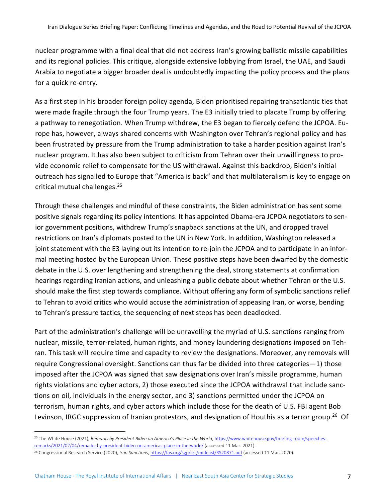nuclear programme with a final deal that did not address Iran's growing ballistic missile capabilities and its regional policies. This critique, alongside extensive lobbying from Israel, the UAE, and Saudi Arabia to negotiate a bigger broader deal is undoubtedly impacting the policy process and the plans for a quick re-entry.

As a first step in his broader foreign policy agenda, Biden prioritised repairing transatlantic ties that were made fragile through the four Trump years. The E3 initially tried to placate Trump by offering a pathway to renegotiation. When Trump withdrew, the E3 began to fiercely defend the JCPOA. Europe has, however, always shared concerns with Washington over Tehran's regional policy and has been frustrated by pressure from the Trump administration to take a harder position against Iran's nuclear program. It has also been subject to criticism from Tehran over their unwillingness to provide economic relief to compensate for the US withdrawal. Against this backdrop, Biden's initial outreach has signalled to Europe that "America is back" and that multilateralism is key to engage on critical mutual challenges.25

Through these challenges and mindful of these constraints, the Biden administration has sent some positive signals regarding its policy intentions. It has appointed Obama-era JCPOA negotiators to senior government positions, withdrew Trump's snapback sanctions at the UN, and dropped travel restrictions on Iran's diplomats posted to the UN in New York. In addition, Washington released a joint statement with the E3 laying out its intention to re-join the JCPOA and to participate in an informal meeting hosted by the European Union. These positive steps have been dwarfed by the domestic debate in the U.S. over lengthening and strengthening the deal, strong statements at confirmation hearings regarding Iranian actions, and unleashing a public debate about whether Tehran or the U.S. should make the first step towards compliance. Without offering any form of symbolic sanctions relief to Tehran to avoid critics who would accuse the administration of appeasing Iran, or worse, bending to Tehran's pressure tactics, the sequencing of next steps has been deadlocked.

Part of the administration's challenge will be unravelling the myriad of U.S. sanctions ranging from nuclear, missile, terror-related, human rights, and money laundering designations imposed on Tehran. This task will require time and capacity to review the designations. Moreover, any removals will require Congressional oversight. Sanctions can thus far be divided into three categories—1) those imposed after the JCPOA was signed that saw designations over Iran's missile programme, human rights violations and cyber actors, 2) those executed since the JCPOA withdrawal that include sanctions on oil, individuals in the energy sector, and 3) sanctions permitted under the JCPOA on terrorism, human rights, and cyber actors which include those for the death of U.S. FBI agent Bob Levinson, IRGC suppression of Iranian protestors, and designation of Houthis as a terror group.<sup>26</sup> Of

<sup>&</sup>lt;sup>25</sup> The White House (2021), *Remarks by President Biden on America's Place in the World*, https://www.whitehouse.gov/briefing-room/speechesremarks/2021/02/04/remarks-by-president-biden-on-americas-place-in-the-world/ (accessed 11 Mar. 2021).

<sup>26</sup> Congressional Research Service (2020), *Iran Sanctions*, https://fas.org/sgp/crs/mideast/RS20871.pdf (accessed 11 Mar. 2020).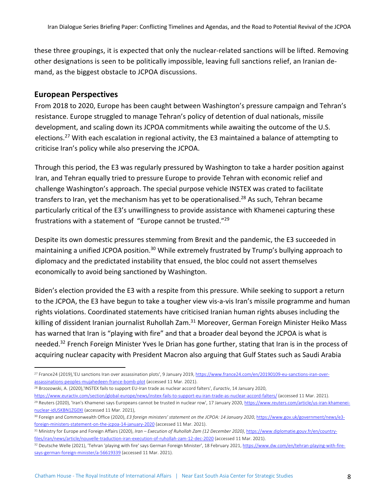these three groupings, it is expected that only the nuclear-related sanctions will be lifted. Removing other designations is seen to be politically impossible, leaving full sanctions relief, an Iranian demand, as the biggest obstacle to JCPOA discussions.

#### **European Perspectives**

From 2018 to 2020, Europe has been caught between Washington's pressure campaign and Tehran's resistance. Europe struggled to manage Tehran's policy of detention of dual nationals, missile development, and scaling down its JCPOA commitments while awaiting the outcome of the U.S. elections.<sup>27</sup> With each escalation in regional activity, the E3 maintained a balance of attempting to criticise Iran's policy while also preserving the JCPOA.

Through this period, the E3 was regularly pressured by Washington to take a harder position against Iran, and Tehran equally tried to pressure Europe to provide Tehran with economic relief and challenge Washington's approach. The special purpose vehicle INSTEX was crated to facilitate transfers to Iran, yet the mechanism has yet to be operationalised.<sup>28</sup> As such, Tehran became particularly critical of the E3's unwillingness to provide assistance with Khamenei capturing these frustrations with a statement of "Europe cannot be trusted."29

Despite its own domestic pressures stemming from Brexit and the pandemic, the E3 succeeded in maintaining a unified JCPOA position.<sup>30</sup> While extremely frustrated by Trump's bullying approach to diplomacy and the predictated instability that ensued, the bloc could not assert themselves economically to avoid being sanctioned by Washington.

Biden's election provided the E3 with a respite from this pressure. While seeking to support a return to the JCPOA, the E3 have begun to take a tougher view vis-a-vis Iran's missile programme and human rights violations. Coordinated statements have criticised Iranian human rights abuses including the killing of dissident Iranian journalist Ruhollah Zam.<sup>31</sup> Moreover, German Foreign Minister Heiko Mass has warned that Iran is "playing with fire" and that a broader deal beyond the JCPOA is what is needed.<sup>32</sup> French Foreign Minister Yves le Drian has gone further, stating that Iran is in the process of acquiring nuclear capacity with President Macron also arguing that Gulf States such as Saudi Arabia

<sup>28</sup> Brzozowski, A. (2020),'INSTEX fails to support EU-Iran trade as nuclear accord falters', *Euractiv*, 14 January 2020,

<sup>27</sup> France24 (2019),'EU sanctions Iran over assassination plots', 9 January 2019, https://www.france24.com/en/20190109-eu-sanctions-iran-overassassinations-peoples-mujahedeen-france-bomb-plot (accessed 11 Mar. 2021).

https://www.euractiv.com/section/global-europe/news/instex-fails-to-support-eu-iran-trade-as-nuclear-accord-falters/ (accessed 11 Mar. 2021).

<sup>&</sup>lt;sup>29</sup> Reuters (2020), 'Iran's Khamenei says Europeans cannot be trusted in nuclear row', 17 January 2020, https://www.reuters.com/article/us-iran-khameneinuclear-idUSKBN1ZG0XI (accessed 11 Mar. 2021),

<sup>30</sup> Foreign and Commonwealth Office (2020), *E3 foreign ministers' statement on the JCPOA: 14 January 2020*, https://www.gov.uk/government/news/e3 foreign-ministers-statement-on-the-jcpoa-14-january-2020 (accessed 11 Mar. 2021).

<sup>31</sup> Ministry for Europe and Foreign Affairs (2020), *Iran – Execution of Ruhollah Zam (12 December 2020)*, https://www.diplomatie.gouv.fr/en/countryfiles/iran/news/article/nouvelle-traduction-iran-execution-of-ruhollah-zam-12-dec-2020 (accessed 11 Mar. 2021).

<sup>32</sup> Deutsche Welle (2021), 'Tehran 'playing with fire' says German Foreign Minister', 18 February 2021, https://www.dw.com/en/tehran-playing-with-firesays-german-foreign-minister/a-56619339 (accessed 11 Mar. 2021).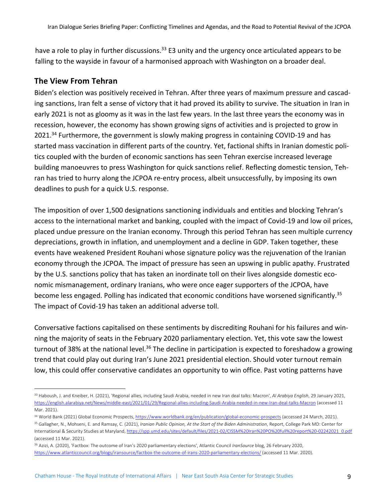have a role to play in further discussions.<sup>33</sup> E3 unity and the urgency once articulated appears to be falling to the wayside in favour of a harmonised approach with Washington on a broader deal.

## **The View From Tehran**

Biden's election was positively received in Tehran. After three years of maximum pressure and cascading sanctions, Iran felt a sense of victory that it had proved its ability to survive. The situation in Iran in early 2021 is not as gloomy as it was in the last few years. In the last three years the economy was in recession, however, the economy has shown growing signs of activities and is projected to grow in 2021.<sup>34</sup> Furthermore, the government is slowly making progress in containing COVID-19 and has started mass vaccination in different parts of the country. Yet, factional shifts in Iranian domestic politics coupled with the burden of economic sanctions has seen Tehran exercise increased leverage building manoeuvres to press Washington for quick sanctions relief. Reflecting domestic tension, Tehran has tried to hurry along the JCPOA re-entry process, albeit unsuccessfully, by imposing its own deadlines to push for a quick U.S. response.

The imposition of over 1,500 designations sanctioning individuals and entities and blocking Tehran's access to the international market and banking, coupled with the impact of Covid-19 and low oil prices, placed undue pressure on the Iranian economy. Through this period Tehran has seen multiple currency depreciations, growth in inflation, and unemployment and a decline in GDP. Taken together, these events have weakened President Rouhani whose signature policy was the rejuvenation of the Iranian economy through the JCPOA. The impact of pressure has seen an upswing in public apathy. Frustrated by the U.S. sanctions policy that has taken an inordinate toll on their lives alongside domestic economic mismanagement, ordinary Iranians, who were once eager supporters of the JCPOA, have become less engaged. Polling has indicated that economic conditions have worsened significantly.<sup>35</sup> The impact of Covid-19 has taken an additional adverse toll.

Conversative factions capitalised on these sentiments by discrediting Rouhani for his failures and winning the majority of seats in the February 2020 parliamentary election. Yet, this vote saw the lowest turnout of 38% at the national level.<sup>36</sup> The decline in participation is expected to foreshadow a growing trend that could play out during Iran's June 2021 presidential election. Should voter turnout remain low, this could offer conservative candidates an opportunity to win office. Past voting patterns have

<sup>33</sup> Haboush, J. and Kneiber, H. (2021), 'Regional allies, including Saudi Arabia, needed in new Iran deal talks: Macron', *Al Arabiya English*, 29 January 2021, https://english.alarabiya.net/News/middle-east/2021/01/29/Regional-allies-including-Saudi-Arabia-needed-in-new-Iran-deal-talks-Macron (accessed 11 Mar. 2021).

<sup>34</sup> World Bank (2021) Global Economic Prospects, https://www.worldbank.org/en/publication/global-economic-prospects (accessed 24 March, 2021).

<sup>35</sup> Gallagher, N., Mohseni, E. and Ramsay, C. (2021), *Iranian Public Opinion, At the Start of the Biden Administration*, Report, College Park MD: Center for International & Security Studies at Maryland, https://spp.umd.edu/sites/default/files/2021-02/CISSM%20Iran%20PO%20full%20report%20-02242021\_0.pdf (accessed 11 Mar. 2021).

<sup>36</sup> Azizi, A. (2020), 'Factbox: The outcome of Iran's 2020 parliamentary elections', Atlantic Council *IranSource* blog, 26 February 2020, https://www.atlanticcouncil.org/blogs/iransource/factbox-the-outcome-of-irans-2020-parliamentary-elections/ (accessed 11 Mar. 2020).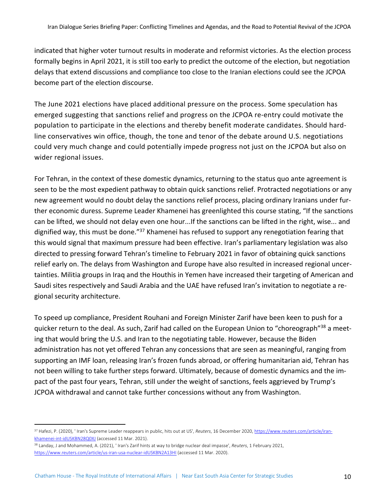indicated that higher voter turnout results in moderate and reformist victories. As the election process formally begins in April 2021, it is still too early to predict the outcome of the election, but negotiation delays that extend discussions and compliance too close to the Iranian elections could see the JCPOA become part of the election discourse.

The June 2021 elections have placed additional pressure on the process. Some speculation has emerged suggesting that sanctions relief and progress on the JCPOA re-entry could motivate the population to participate in the elections and thereby benefit moderate candidates. Should hardline conservatives win office, though, the tone and tenor of the debate around U.S. negotiations could very much change and could potentially impede progress not just on the JCPOA but also on wider regional issues.

For Tehran, in the context of these domestic dynamics, returning to the status quo ante agreement is seen to be the most expedient pathway to obtain quick sanctions relief. Protracted negotiations or any new agreement would no doubt delay the sanctions relief process, placing ordinary Iranians under further economic duress. Supreme Leader Khamenei has greenlighted this course stating, "If the sanctions can be lifted, we should not delay even one hour...If the sanctions can be lifted in the right, wise... and dignified way, this must be done.<sup>"37</sup> Khamenei has refused to support any renegotiation fearing that this would signal that maximum pressure had been effective. Iran's parliamentary legislation was also directed to pressing forward Tehran's timeline to February 2021 in favor of obtaining quick sanctions relief early on. The delays from Washington and Europe have also resulted in increased regional uncertainties. Militia groups in Iraq and the Houthis in Yemen have increased their targeting of American and Saudi sites respectively and Saudi Arabia and the UAE have refused Iran's invitation to negotiate a regional security architecture.

To speed up compliance, President Rouhani and Foreign Minister Zarif have been keen to push for a quicker return to the deal. As such, Zarif had called on the European Union to "choreograph"<sup>38</sup> a meeting that would bring the U.S. and Iran to the negotiating table. However, because the Biden administration has not yet offered Tehran any concessions that are seen as meaningful, ranging from supporting an IMF loan, releasing Iran's frozen funds abroad, or offering humanitarian aid, Tehran has not been willing to take further steps forward. Ultimately, because of domestic dynamics and the impact of the past four years, Tehran, still under the weight of sanctions, feels aggrieved by Trump's JCPOA withdrawal and cannot take further concessions without any from Washington.

<sup>37</sup> Hafezi, P. (2020), ' Iran's Supreme Leader reappears in public, hits out at US', *Reuters*, 16 December 2020, https://www.reuters.com/article/irankhamenei-int-idUSKBN28Q0XJ (accessed 11 Mar. 2021).

<sup>38</sup> Landay, J and Mohammed, A. (2021), ' Iran's Zarif hints at way to bridge nuclear deal impasse', *Reuters*, 1 February 2021, https://www.reuters.com/article/us-iran-usa-nuclear-idUSKBN2A13HI (accessed 11 Mar. 2020).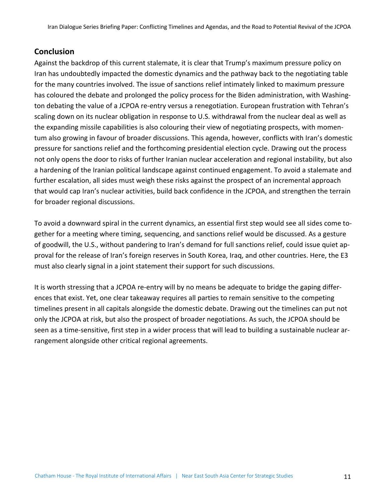# **Conclusion**

Against the backdrop of this current stalemate, it is clear that Trump's maximum pressure policy on Iran has undoubtedly impacted the domestic dynamics and the pathway back to the negotiating table for the many countries involved. The issue of sanctions relief intimately linked to maximum pressure has coloured the debate and prolonged the policy process for the Biden administration, with Washington debating the value of a JCPOA re-entry versus a renegotiation. European frustration with Tehran's scaling down on its nuclear obligation in response to U.S. withdrawal from the nuclear deal as well as the expanding missile capabilities is also colouring their view of negotiating prospects, with momentum also growing in favour of broader discussions. This agenda, however, conflicts with Iran's domestic pressure for sanctions relief and the forthcoming presidential election cycle. Drawing out the process not only opens the door to risks of further Iranian nuclear acceleration and regional instability, but also a hardening of the Iranian political landscape against continued engagement. To avoid a stalemate and further escalation, all sides must weigh these risks against the prospect of an incremental approach that would cap Iran's nuclear activities, build back confidence in the JCPOA, and strengthen the terrain for broader regional discussions.

To avoid a downward spiral in the current dynamics, an essential first step would see all sides come together for a meeting where timing, sequencing, and sanctions relief would be discussed. As a gesture of goodwill, the U.S., without pandering to Iran's demand for full sanctions relief, could issue quiet approval for the release of Iran's foreign reserves in South Korea, Iraq, and other countries. Here, the E3 must also clearly signal in a joint statement their support for such discussions.

It is worth stressing that a JCPOA re-entry will by no means be adequate to bridge the gaping differences that exist. Yet, one clear takeaway requires all parties to remain sensitive to the competing timelines present in all capitals alongside the domestic debate. Drawing out the timelines can put not only the JCPOA at risk, but also the prospect of broader negotiations. As such, the JCPOA should be seen as a time-sensitive, first step in a wider process that will lead to building a sustainable nuclear arrangement alongside other critical regional agreements.